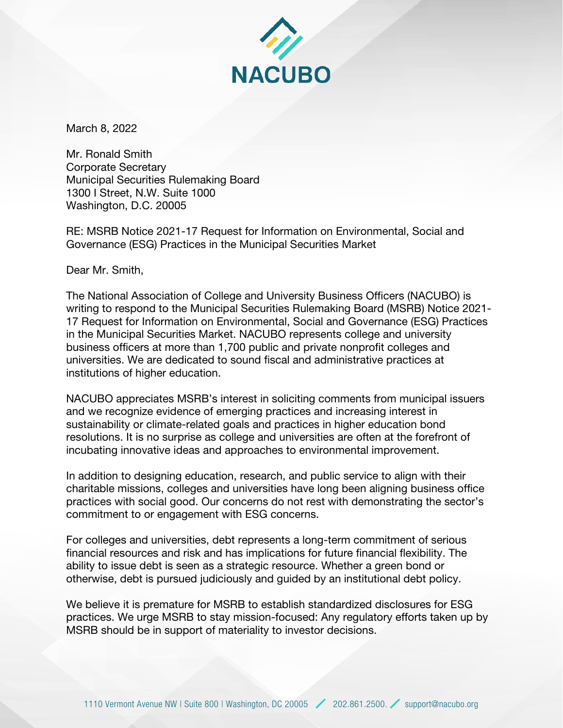

March 8, 2022

Mr. Ronald Smith Corporate Secretary Municipal Securities Rulemaking Board 1300 I Street, N.W. Suite 1000 Washington, D.C. 20005

RE: MSRB Notice 2021-17 Request for Information on Environmental, Social and Governance (ESG) Practices in the Municipal Securities Market

Dear Mr. Smith,

The National Association of College and University Business Officers (NACUBO) is writing to respond to the Municipal Securities Rulemaking Board (MSRB) Notice 2021- 17 Request for Information on Environmental, Social and Governance (ESG) Practices in the Municipal Securities Market. NACUBO represents college and university business officers at more than 1,700 public and private nonprofit colleges and universities. We are dedicated to sound fiscal and administrative practices at institutions of higher education.

NACUBO appreciates MSRB's interest in soliciting comments from municipal issuers and we recognize evidence of emerging practices and increasing interest in sustainability or climate-related goals and practices in higher education bond resolutions. It is no surprise as college and universities are often at the forefront of incubating innovative ideas and approaches to environmental improvement.

In addition to designing education, research, and public service to align with their charitable missions, colleges and universities have long been aligning business office practices with social good. Our concerns do not rest with demonstrating the sector's commitment to or engagement with ESG concerns.

For colleges and universities, debt represents a long-term commitment of serious financial resources and risk and has implications for future financial flexibility. The ability to issue debt is seen as a strategic resource. Whether a green bond or otherwise, debt is pursued judiciously and guided by an institutional debt policy.

We believe it is premature for MSRB to establish standardized disclosures for ESG practices. We urge MSRB to stay mission-focused: Any regulatory efforts taken up by MSRB should be in support of materiality to investor decisions.